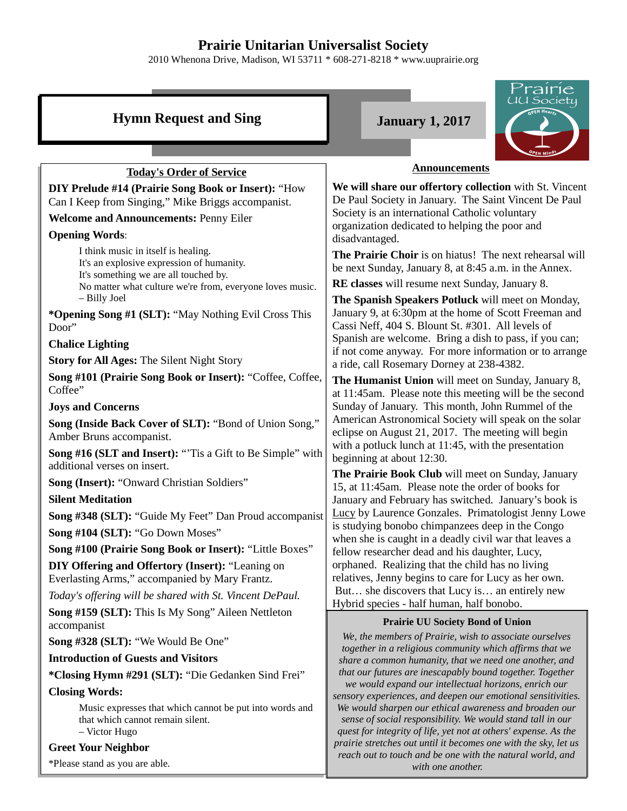## **Prairie Unitarian Universalist Society**

2010 Whenona Drive, Madison, WI 53711 \* 608-271-8218 \* www.uuprairie.org

| Prairie                                                                                                      |                                                                                                                                                                                         |  |  |  |
|--------------------------------------------------------------------------------------------------------------|-----------------------------------------------------------------------------------------------------------------------------------------------------------------------------------------|--|--|--|
| <b>Hymn Request and Sing</b>                                                                                 | JU Society<br>DEN Heart<br><b>January 1, 2017</b>                                                                                                                                       |  |  |  |
|                                                                                                              |                                                                                                                                                                                         |  |  |  |
| <b>Today's Order of Service</b>                                                                              | <b>Announcements</b>                                                                                                                                                                    |  |  |  |
| DIY Prelude #14 (Prairie Song Book or Insert): "How                                                          | We will share our offertory collection with St. Vincent<br>De Paul Society in January. The Saint Vincent De Paul                                                                        |  |  |  |
| Can I Keep from Singing," Mike Briggs accompanist.                                                           | Society is an international Catholic voluntary                                                                                                                                          |  |  |  |
| <b>Welcome and Announcements: Penny Eiler</b>                                                                | organization dedicated to helping the poor and                                                                                                                                          |  |  |  |
| <b>Opening Words:</b><br>I think music in itself is healing.                                                 | disadvantaged.                                                                                                                                                                          |  |  |  |
| It's an explosive expression of humanity.                                                                    | The Prairie Choir is on hiatus! The next rehearsal will<br>be next Sunday, January 8, at 8:45 a.m. in the Annex.                                                                        |  |  |  |
| It's something we are all touched by.                                                                        | RE classes will resume next Sunday, January 8.                                                                                                                                          |  |  |  |
| No matter what culture we're from, everyone loves music.<br>- Billy Joel                                     | The Spanish Speakers Potluck will meet on Monday,                                                                                                                                       |  |  |  |
| * <b>Opening Song #1 (SLT):</b> "May Nothing Evil Cross This                                                 | January 9, at 6:30pm at the home of Scott Freeman and                                                                                                                                   |  |  |  |
| Door"                                                                                                        | Cassi Neff, 404 S. Blount St. #301. All levels of                                                                                                                                       |  |  |  |
| <b>Chalice Lighting</b>                                                                                      | Spanish are welcome. Bring a dish to pass, if you can;<br>if not come anyway. For more information or to arrange                                                                        |  |  |  |
| <b>Story for All Ages: The Silent Night Story</b>                                                            | a ride, call Rosemary Dorney at 238-4382.                                                                                                                                               |  |  |  |
| Song #101 (Prairie Song Book or Insert): "Coffee, Coffee,                                                    | The Humanist Union will meet on Sunday, January 8,                                                                                                                                      |  |  |  |
| Coffee"                                                                                                      | at 11:45am. Please note this meeting will be the second                                                                                                                                 |  |  |  |
| <b>Joys and Concerns</b>                                                                                     | Sunday of January. This month, John Rummel of the<br>American Astronomical Society will speak on the solar                                                                              |  |  |  |
| Song (Inside Back Cover of SLT): "Bond of Union Song,"<br>Amber Bruns accompanist.                           | eclipse on August 21, 2017. The meeting will begin<br>with a potluck lunch at 11:45, with the presentation                                                                              |  |  |  |
| Song #16 (SLT and Insert): "Tis a Gift to Be Simple" with<br>additional verses on insert.                    | beginning at about 12:30.                                                                                                                                                               |  |  |  |
| <b>Song (Insert): "Onward Christian Soldiers"</b>                                                            | The Prairie Book Club will meet on Sunday, January<br>15, at 11:45am. Please note the order of books for                                                                                |  |  |  |
| <b>Silent Meditation</b>                                                                                     | January and February has switched. January's book is                                                                                                                                    |  |  |  |
| Song #348 (SLT): "Guide My Feet" Dan Proud accompanist                                                       | Lucy by Laurence Gonzales. Primatologist Jenny Lowe                                                                                                                                     |  |  |  |
| Song #104 (SLT): "Go Down Moses"                                                                             | is studying bonobo chimpanzees deep in the Congo<br>when she is caught in a deadly civil war that leaves a                                                                              |  |  |  |
| Song #100 (Prairie Song Book or Insert): "Little Boxes"                                                      | fellow researcher dead and his daughter, Lucy,                                                                                                                                          |  |  |  |
| DIY Offering and Offertory (Insert): "Leaning on<br>Everlasting Arms," accompanied by Mary Frantz.           | orphaned. Realizing that the child has no living<br>relatives, Jenny begins to care for Lucy as her own.                                                                                |  |  |  |
| Today's offering will be shared with St. Vincent DePaul.                                                     | But she discovers that Lucy is an entirely new                                                                                                                                          |  |  |  |
| Song #159 (SLT): This Is My Song" Aileen Nettleton<br>accompanist                                            | Hybrid species - half human, half bonobo.<br><b>Prairie UU Society Bond of Union</b>                                                                                                    |  |  |  |
| Song #328 (SLT): "We Would Be One"                                                                           | We, the members of Prairie, wish to associate ourselves<br>together in a religious community which affirms that we                                                                      |  |  |  |
| <b>Introduction of Guests and Visitors</b>                                                                   | share a common humanity, that we need one another, and                                                                                                                                  |  |  |  |
| *Closing Hymn #291 (SLT): "Die Gedanken Sind Frei"                                                           | that our futures are inescapably bound together. Together                                                                                                                               |  |  |  |
| <b>Closing Words:</b>                                                                                        | we would expand our intellectual horizons, enrich our<br>sensory experiences, and deepen our emotional sensitivities.                                                                   |  |  |  |
| Music expresses that which cannot be put into words and<br>that which cannot remain silent.<br>- Victor Hugo | We would sharpen our ethical awareness and broaden our<br>sense of social responsibility. We would stand tall in our<br>quest for integrity of life, yet not at others' expense. As the |  |  |  |
| <b>Greet Your Neighbor</b>                                                                                   | prairie stretches out until it becomes one with the sky, let us                                                                                                                         |  |  |  |
| *Please stand as you are able.                                                                               | reach out to touch and be one with the natural world, and<br>with one another.                                                                                                          |  |  |  |
|                                                                                                              |                                                                                                                                                                                         |  |  |  |